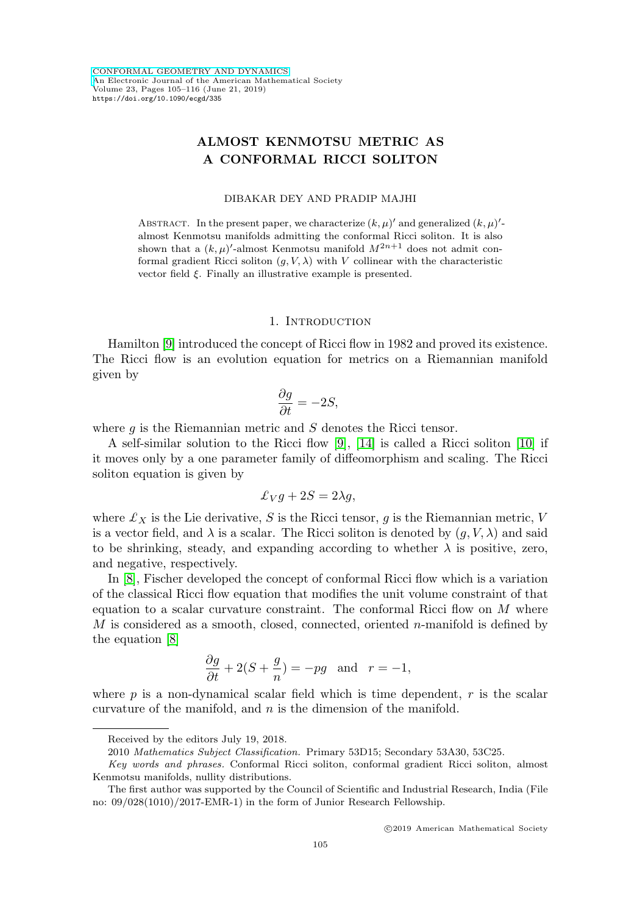# **ALMOST KENMOTSU METRIC AS A CONFORMAL RICCI SOLITON**

#### DIBAKAR DEY AND PRADIP MAJHI

ABSTRACT. In the present paper, we characterize  $(k, \mu)'$  and generalized  $(k, \mu)'$ almost Kenmotsu manifolds admitting the conformal Ricci soliton. It is also shown that a  $(k, \mu)'$ -almost Kenmotsu manifold  $M^{2n+1}$  does not admit conformal gradient Ricci soliton  $(g, V, \lambda)$  with V collinear with the characteristic vector field ξ. Finally an illustrative example is presented.

#### 1. Introduction

Hamilton [\[9\]](#page-11-0) introduced the concept of Ricci flow in 1982 and proved its existence. The Ricci flow is an evolution equation for metrics on a Riemannian manifold given by

$$
\frac{\partial g}{\partial t} = -2S,
$$

where  $g$  is the Riemannian metric and  $S$  denotes the Ricci tensor.

A self-similar solution to the Ricci flow [\[9\]](#page-11-0), [\[14\]](#page-11-1) is called a Ricci soliton [\[10\]](#page-11-2) if it moves only by a one parameter family of diffeomorphism and scaling. The Ricci soliton equation is given by

$$
\pounds_V g + 2S = 2\lambda g,
$$

where  $\mathcal{L}_X$  is the Lie derivative, S is the Ricci tensor, g is the Riemannian metric, V is a vector field, and  $\lambda$  is a scalar. The Ricci soliton is denoted by  $(g, V, \lambda)$  and said to be shrinking, steady, and expanding according to whether  $\lambda$  is positive, zero, and negative, respectively.

In [\[8\]](#page-11-3), Fischer developed the concept of conformal Ricci flow which is a variation of the classical Ricci flow equation that modifies the unit volume constraint of that equation to a scalar curvature constraint. The conformal Ricci flow on  $M$  where M is considered as a smooth, closed, connected, oriented n-manifold is defined by the equation [\[8\]](#page-11-3)

$$
\frac{\partial g}{\partial t} + 2(S + \frac{g}{n}) = -pg \text{ and } r = -1,
$$

where  $p$  is a non-dynamical scalar field which is time dependent,  $r$  is the scalar curvature of the manifold, and  $n$  is the dimension of the manifold.

Received by the editors July 19, 2018.

<sup>2010</sup> Mathematics Subject Classification. Primary 53D15; Secondary 53A30, 53C25.

Key words and phrases. Conformal Ricci soliton, conformal gradient Ricci soliton, almost Kenmotsu manifolds, nullity distributions.

The first author was supported by the Council of Scientific and Industrial Research, India (File no: 09/028(1010)/2017-EMR-1) in the form of Junior Research Fellowship.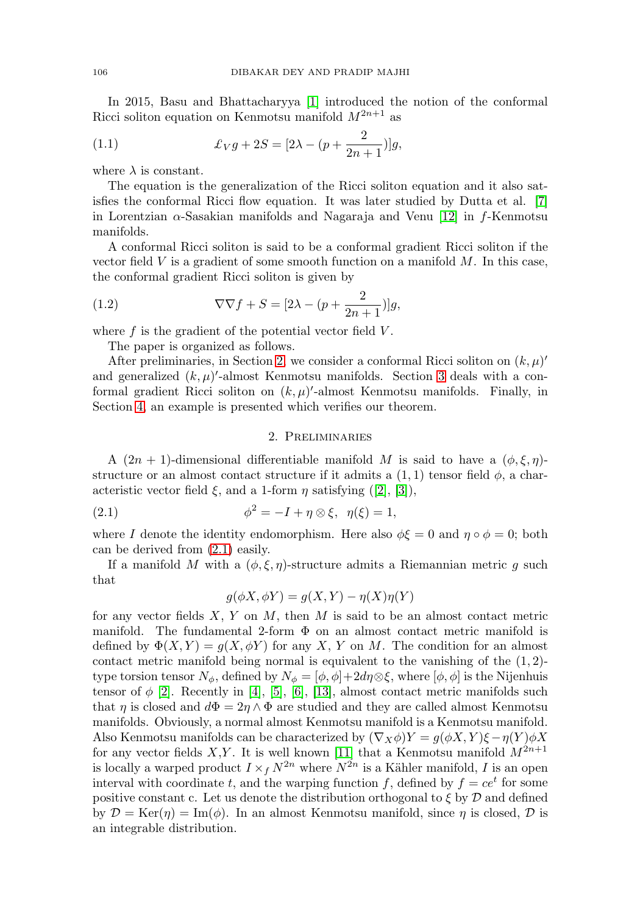In 2015, Basu and Bhattacharyya [\[1\]](#page-10-0) introduced the notion of the conformal Ricci soliton equation on Kenmotsu manifold  $M^{2n+1}$  as

<span id="page-1-2"></span>(1.1) 
$$
\pounds_V g + 2S = [2\lambda - (p + \frac{2}{2n+1})]g,
$$

where  $\lambda$  is constant.

The equation is the generalization of the Ricci soliton equation and it also satisfies the conformal Ricci flow equation. It was later studied by Dutta et al. [\[7\]](#page-11-4) in Lorentzian  $\alpha$ -Sasakian manifolds and Nagaraja and Venu [\[12\]](#page-11-5) in f-Kenmotsu manifolds.

A conformal Ricci soliton is said to be a conformal gradient Ricci soliton if the vector field  $V$  is a gradient of some smooth function on a manifold  $M$ . In this case, the conformal gradient Ricci soliton is given by

(1.2) 
$$
\nabla \nabla f + S = [2\lambda - (p + \frac{2}{2n+1})]g,
$$

where  $f$  is the gradient of the potential vector field  $V$ .

<span id="page-1-3"></span>The paper is organized as follows.

After preliminaries, in Section [2,](#page-1-0) we consider a conformal Ricci soliton on  $(k, \mu)'$ and generalized  $(k, \mu)'$ -almost Kenmotsu manifolds. Section [3](#page-3-0) deals with a conformal gradient Ricci soliton on  $(k, \mu)'$ -almost Kenmotsu manifolds. Finally, in Section [4,](#page-7-0) an example is presented which verifies our theorem.

## 2. Preliminaries

<span id="page-1-0"></span>A  $(2n + 1)$ -dimensional differentiable manifold M is said to have a  $(\phi, \xi, \eta)$ structure or an almost contact structure if it admits a  $(1, 1)$  tensor field  $\phi$ , a characteristic vector field  $\xi$ , and a 1-form  $\eta$  satisfying ([\[2\]](#page-10-1), [\[3\]](#page-10-2)),

<span id="page-1-1"></span>(2.1) 
$$
\phi^2 = -I + \eta \otimes \xi, \ \eta(\xi) = 1,
$$

where I denote the identity endomorphism. Here also  $\phi \xi = 0$  and  $\eta \circ \phi = 0$ ; both can be derived from [\(2.1\)](#page-1-1) easily.

If a manifold M with a  $(\phi, \xi, \eta)$ -structure admits a Riemannian metric g such that

$$
g(\phi X, \phi Y) = g(X, Y) - \eta(X)\eta(Y)
$$

for any vector fields  $X, Y$  on  $M$ , then  $M$  is said to be an almost contact metric manifold. The fundamental 2-form  $\Phi$  on an almost contact metric manifold is defined by  $\Phi(X, Y) = g(X, \phi Y)$  for any X, Y on M. The condition for an almost contact metric manifold being normal is equivalent to the vanishing of the  $(1, 2)$ type torsion tensor  $N_{\phi}$ , defined by  $N_{\phi} = [\phi, \phi] + 2d\eta \otimes \xi$ , where  $[\phi, \phi]$  is the Nijenhuis tensor of  $\phi$  [\[2\]](#page-10-1). Recently in [\[4\]](#page-10-3), [\[5\]](#page-10-4), [\[6\]](#page-10-5), [\[13\]](#page-11-6), almost contact metric manifolds such that  $\eta$  is closed and  $d\Phi = 2\eta \wedge \Phi$  are studied and they are called almost Kenmotsu manifolds. Obviously, a normal almost Kenmotsu manifold is a Kenmotsu manifold. Also Kenmotsu manifolds can be characterized by  $(\nabla_X \phi)Y = g(\phi X, Y)\xi - \eta(Y)\phi X$ for any vector fields X,Y. It is well known [\[11\]](#page-11-7) that a Kenmotsu manifold  $M^{2n+1}$ is locally a warped product  $I \times_f N^{2n}$  where  $N^{2n}$  is a Kähler manifold, I is an open interval with coordinate t, and the warping function f, defined by  $f = ce^t$  for some positive constant c. Let us denote the distribution orthogonal to  $\xi$  by  $\mathcal D$  and defined by  $\mathcal{D} = \text{Ker}(\eta) = \text{Im}(\phi)$ . In an almost Kenmotsu manifold, since  $\eta$  is closed,  $\mathcal{D}$  is an integrable distribution.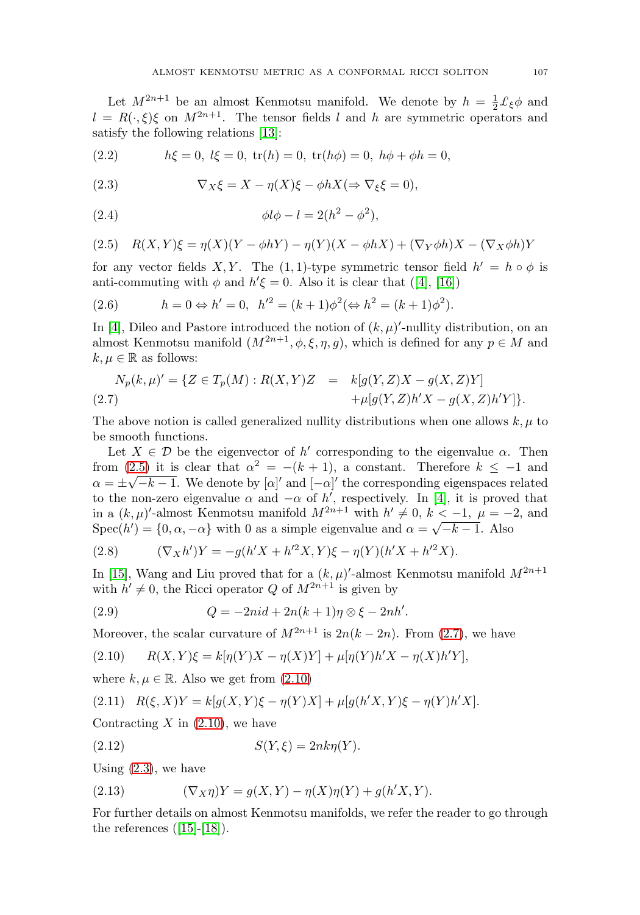Let  $M^{2n+1}$  be an almost Kenmotsu manifold. We denote by  $h = \frac{1}{2} \mathcal{L}_{\xi} \phi$  and  $l = R(\cdot, \xi)\xi$  on  $M^{2n+1}$ . The tensor fields l and h are symmetric operators and satisfy the following relations [\[13\]](#page-11-6):

(2.2) 
$$
h\xi = 0, l\xi = 0, \text{tr}(h) = 0, \text{tr}(h\phi) = 0, h\phi + \phi h = 0,
$$

<span id="page-2-3"></span>(2.3) 
$$
\nabla_X \xi = X - \eta(X)\xi - \phi h X (\Rightarrow \nabla_\xi \xi = 0),
$$

(2.4) 
$$
\phi l \phi - l = 2(h^2 - \phi^2),
$$

<span id="page-2-0"></span>(2.5) 
$$
R(X,Y)\xi = \eta(X)(Y - \phi hY) - \eta(Y)(X - \phi hX) + (\nabla_Y \phi h)X - (\nabla_X \phi h)Y
$$

for any vector fields X, Y. The  $(1,1)$ -type symmetric tensor field  $h' = h \circ \phi$  is anti-commuting with  $\phi$  and  $h' \xi = 0$ . Also it is clear that ([\[4\]](#page-10-3), [\[16\]](#page-11-8))

<span id="page-2-7"></span>(2.6) 
$$
h = 0 \Leftrightarrow h' = 0, \ \ h'^2 = (k+1)\phi^2 (\Leftrightarrow h^2 = (k+1)\phi^2).
$$

In [\[4\]](#page-10-3), Dileo and Pastore introduced the notion of  $(k, \mu)'$ -nullity distribution, on an almost Kenmotsu manifold  $(M^{2n+1}, \phi, \xi, \eta, g)$ , which is defined for any  $p \in M$  and  $k, \mu \in \mathbb{R}$  as follows:

<span id="page-2-1"></span>
$$
N_p(k,\mu)' = \{ Z \in T_p(M) : R(X,Y)Z = k[g(Y,Z)X - g(X,Z)Y] + \mu[g(Y,Z)h'X - g(X,Z)h'Y] \}.
$$

The above notion is called generalized nullity distributions when one allows  $k, \mu$  to be smooth functions.

Let  $X \in \mathcal{D}$  be the eigenvector of h' corresponding to the eigenvalue  $\alpha$ . Then from [\(2.5\)](#page-2-0) it is clear that  $\alpha^2 = -(k+1)$ , a constant. Therefore  $k \leq -1$  and nom (2.5) it is clear that  $\alpha = -(\kappa + 1)$ , a constant. Therefore  $\kappa \le -1$  and  $\alpha = \pm \sqrt{-k-1}$ . We denote by  $[\alpha]'$  and  $[-\alpha]'$  the corresponding eigenspaces related to the non-zero eigenvalue  $\alpha$  and  $-\alpha$  of h', respectively. In [\[4\]](#page-10-3), it is proved that in a  $(k,\mu)'$ -almost Kenmotsu manifold  $M^{2n+1}$  with  $h' \neq 0, k < -1, \mu = -2$ , and Spec(h') = {0,  $\alpha$ , - $\alpha$ } with 0 as a simple eigenvalue and  $\alpha = \sqrt{-k-1}$ . Also

<span id="page-2-5"></span>(2.8) 
$$
(\nabla_X h')Y = -g(h'X + h'^2X, Y)\xi - \eta(Y)(h'X + h'^2X).
$$

In [\[15\]](#page-11-9), Wang and Liu proved that for a  $(k, \mu)'$ -almost Kenmotsu manifold  $M^{2n+1}$ with  $h' \neq 0$ , the Ricci operator Q of  $M^{2n+1}$  is given by

<span id="page-2-4"></span>(2.9) 
$$
Q = -2ni d + 2n(k+1)\eta \otimes \xi - 2nh'.
$$

Moreover, the scalar curvature of  $M^{2n+1}$  is  $2n(k-2n)$ . From [\(2.7\)](#page-2-1), we have

<span id="page-2-2"></span>(2.10) 
$$
R(X,Y)\xi = k[\eta(Y)X - \eta(X)Y] + \mu[\eta(Y)h'X - \eta(X)h'Y],
$$

where  $k, \mu \in \mathbb{R}$ . Also we get from  $(2.10)$ 

<span id="page-2-9"></span>
$$
(2.11) \quad R(\xi, X)Y = k[g(X, Y)\xi - \eta(Y)X] + \mu[g(h'X, Y)\xi - \eta(Y)h'X].
$$

Contracting  $X$  in  $(2.10)$ , we have

<span id="page-2-8"></span>
$$
(2.12) \tS(Y,\xi) = 2nk\eta(Y).
$$

Using  $(2.3)$ , we have

<span id="page-2-6"></span>(2.13) 
$$
(\nabla_X \eta)Y = g(X, Y) - \eta(X)\eta(Y) + g(h'X, Y).
$$

For further details on almost Kenmotsu manifolds, we refer the reader to go through the references  $([15]-[18])$  $([15]-[18])$  $([15]-[18])$  $([15]-[18])$  $([15]-[18])$ .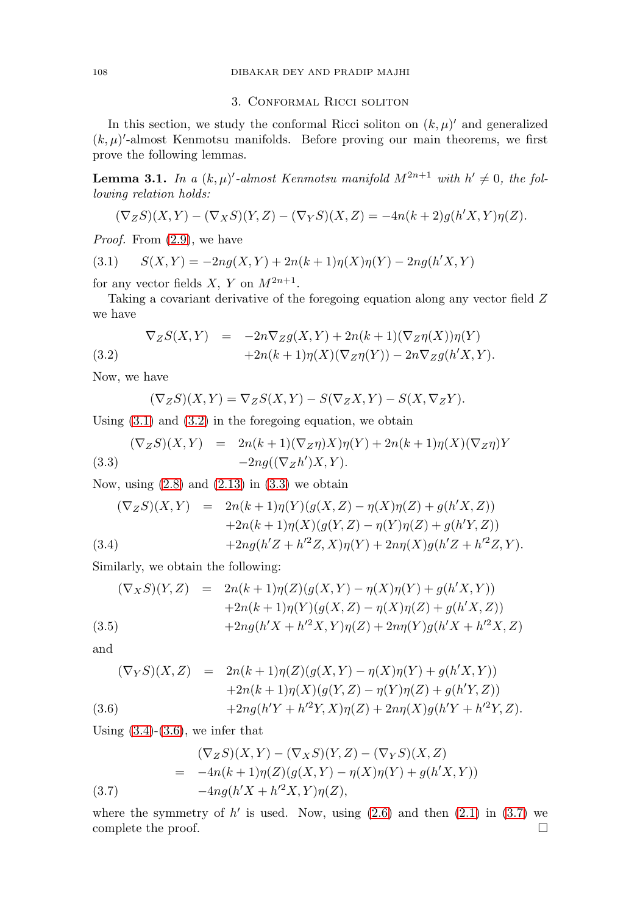# 3. Conformal Ricci soliton

<span id="page-3-0"></span>In this section, we study the conformal Ricci soliton on  $(k,\mu)'$  and generalized  $(k,\mu)'$ -almost Kenmotsu manifolds. Before proving our main theorems, we first prove the following lemmas.

<span id="page-3-1"></span>**Lemma 3.1.** In a  $(k, \mu)'$ -almost Kenmotsu manifold  $M^{2n+1}$  with  $h' \neq 0$ , the following relation holds:

$$
(\nabla_Z S)(X,Y) - (\nabla_X S)(Y,Z) - (\nabla_Y S)(X,Z) = -4n(k+2)g(h'X,Y)\eta(Z).
$$

Proof. From  $(2.9)$ , we have

(3.1) 
$$
S(X,Y) = -2ng(X,Y) + 2n(k+1)\eta(X)\eta(Y) - 2ng(h'X,Y)
$$

for any vector fields X, Y on  $M^{2n+1}$ .

Taking a covariant derivative of the foregoing equation along any vector field Z we have

<span id="page-3-2"></span>(3.2) 
$$
\nabla_Z S(X,Y) = -2n\nabla_Z g(X,Y) + 2n(k+1)(\nabla_Z \eta(X))\eta(Y) +2n(k+1)\eta(X)(\nabla_Z \eta(Y)) - 2n\nabla_Z g(h'X,Y).
$$

Now, we have

$$
(\nabla_Z S)(X,Y) = \nabla_Z S(X,Y) - S(\nabla_Z X,Y) - S(X,\nabla_Z Y).
$$

Using  $(3.1)$  and  $(3.2)$  in the foregoing equation, we obtain

<span id="page-3-3"></span>(3.3) 
$$
(\nabla_Z S)(X,Y) = 2n(k+1)(\nabla_Z \eta)X)\eta(Y) + 2n(k+1)\eta(X)(\nabla_Z \eta)Y
$$

$$
-2ng((\nabla_Z h')X,Y).
$$

Now, using  $(2.8)$  and  $(2.13)$  in  $(3.3)$  we obtain

<span id="page-3-4"></span>
$$
(\nabla_Z S)(X, Y) = 2n(k+1)\eta(Y)(g(X, Z) - \eta(X)\eta(Z) + g(h'X, Z))
$$
  
+2n(k+1)\eta(X)(g(Y, Z) - \eta(Y)\eta(Z) + g(h'Y, Z))  
+2ngh'Z + h'^2Z, X)\eta(Y) + 2n\eta(X)g(h'Z + h'^2Z, Y).

Similarly, we obtain the following:

$$
(\nabla_X S)(Y, Z) = 2n(k+1)\eta(Z)(g(X, Y) - \eta(X)\eta(Y) + g(h'X, Y))
$$
  
+2n(k+1)\eta(Y)(g(X, Z) - \eta(X)\eta(Z) + g(h'X, Z))  
+2ngh'X + h'^2X, Y)\eta(Z) + 2n\eta(Y)g(h'X + h'^2X, Z)

and

<span id="page-3-5"></span>
$$
(\nabla_Y S)(X, Z) = 2n(k+1)\eta(Z)(g(X, Y) - \eta(X)\eta(Y) + g(h'X, Y))
$$
  
+2n(k+1)\eta(X)(g(Y, Z) - \eta(Y)\eta(Z) + g(h'Y, Z))  
+2ngh'Y + h'^2Y, X)\eta(Z) + 2n\eta(X)g(h'Y + h'^2Y, Z).

Using  $(3.4)-(3.6)$  $(3.4)-(3.6)$  $(3.4)-(3.6)$ , we infer that

<span id="page-3-6"></span>(3.7) 
$$
(\nabla_Z S)(X, Y) - (\nabla_X S)(Y, Z) - (\nabla_Y S)(X, Z)
$$

$$
= -4n(k+1)\eta(Z)(g(X, Y) - \eta(X)\eta(Y) + g(h'X, Y))
$$

$$
-4ng(h'X + h'^2X, Y)\eta(Z),
$$

where the symmetry of  $h'$  is used. Now, using  $(2.6)$  and then  $(2.1)$  in  $(3.7)$  we complete the proof.  $\Box$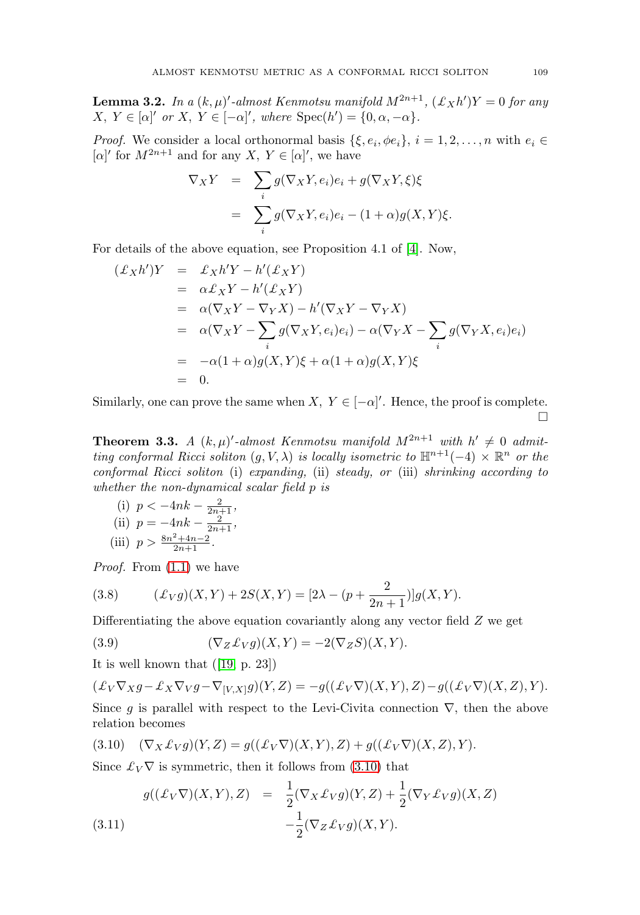<span id="page-4-4"></span>**Lemma 3.2.** In a  $(k,\mu)'$ -almost Kenmotsu manifold  $M^{2n+1}$ ,  $(\pounds_X h')Y = 0$  for any  $X, Y \in [\alpha]'$  or  $X, Y \in [-\alpha]'$ , where  $Spec(h') = \{0, \alpha, -\alpha\}.$ 

*Proof.* We consider a local orthonormal basis  $\{\xi, e_i, \phi e_i\}, i = 1, 2, \ldots, n$  with  $e_i \in$  $[\alpha]'$  for  $M^{2n+1}$  and for any  $X, Y \in [\alpha]'$ , we have

$$
\nabla_X Y = \sum_i g(\nabla_X Y, e_i) e_i + g(\nabla_X Y, \xi) \xi
$$
  
= 
$$
\sum_i g(\nabla_X Y, e_i) e_i - (1 + \alpha) g(X, Y) \xi.
$$

For details of the above equation, see Proposition 4.1 of [\[4\]](#page-10-3). Now,

$$
\begin{aligned}\n(\pounds_X h')Y &= \pounds_X h'Y - h'(\pounds_X Y) \\
&= \alpha \pounds_X Y - h'(\pounds_X Y) \\
&= \alpha (\nabla_X Y - \nabla_Y X) - h'(\nabla_X Y - \nabla_Y X) \\
&= \alpha (\nabla_X Y - \sum_i g(\nabla_X Y, e_i) e_i) - \alpha (\nabla_Y X - \sum_i g(\nabla_Y X, e_i) e_i) \\
&= -\alpha (1 + \alpha) g(X, Y) \xi + \alpha (1 + \alpha) g(X, Y) \xi \\
&= 0.\n\end{aligned}
$$

Similarly, one can prove the same when  $X, Y \in [-\alpha]'$ . Hence, the proof is complete.  $\Box$ 

<span id="page-4-5"></span>**Theorem 3.3.** A  $(k, \mu)'$ -almost Kenmotsu manifold  $M^{2n+1}$  with  $h' \neq 0$  admitting conformal Ricci soliton  $(q, V, \lambda)$  is locally isometric to  $\mathbb{H}^{n+1}(-4) \times \mathbb{R}^n$  or the conformal Ricci soliton (i) expanding, (ii) steady, or (iii) shrinking according to whether the non-dynamical scalar field p is

(i) 
$$
p < -4nk - \frac{2}{2n+1}
$$
,  
\n(ii)  $p = -4nk - \frac{2}{2n+1}$ ,  
\n(iii)  $p > \frac{8n^2 + 4n - 2}{2n+1}$ .

*Proof.* From  $(1.1)$  we have

<span id="page-4-3"></span>(3.8) 
$$
(\pounds_V g)(X, Y) + 2S(X, Y) = [2\lambda - (p + \frac{2}{2n+1})]g(X, Y).
$$

Differentiating the above equation covariantly along any vector field Z we get

<span id="page-4-1"></span>(3.9) 
$$
(\nabla_Z \mathcal{L}_V g)(X, Y) = -2(\nabla_Z S)(X, Y).
$$

It is well known that ([\[19,](#page-11-11) p. 23])

$$
(\mathcal{L}_V \nabla_X g - \mathcal{L}_X \nabla_V g - \nabla_{[V,X]} g)(Y,Z) = -g((\mathcal{L}_V \nabla)(X,Y),Z) - g((\mathcal{L}_V \nabla)(X,Z),Y).
$$
  
Since *g* is parallel with respect to the Levi-Civita connection  $\nabla$ , then the above

relation becomes

<span id="page-4-0"></span>
$$
(3.10) \quad (\nabla_X \pounds_V g)(Y, Z) = g((\pounds_V \nabla)(X, Y), Z) + g((\pounds_V \nabla)(X, Z), Y).
$$

Since  $\mathcal{L}_V \nabla$  is symmetric, then it follows from [\(3.10\)](#page-4-0) that

<span id="page-4-2"></span>(3.11) 
$$
g((\pounds_V \nabla)(X, Y), Z) = \frac{1}{2} (\nabla_X \pounds_V g)(Y, Z) + \frac{1}{2} (\nabla_Y \pounds_V g)(X, Z) - \frac{1}{2} (\nabla_Z \pounds_V g)(X, Y).
$$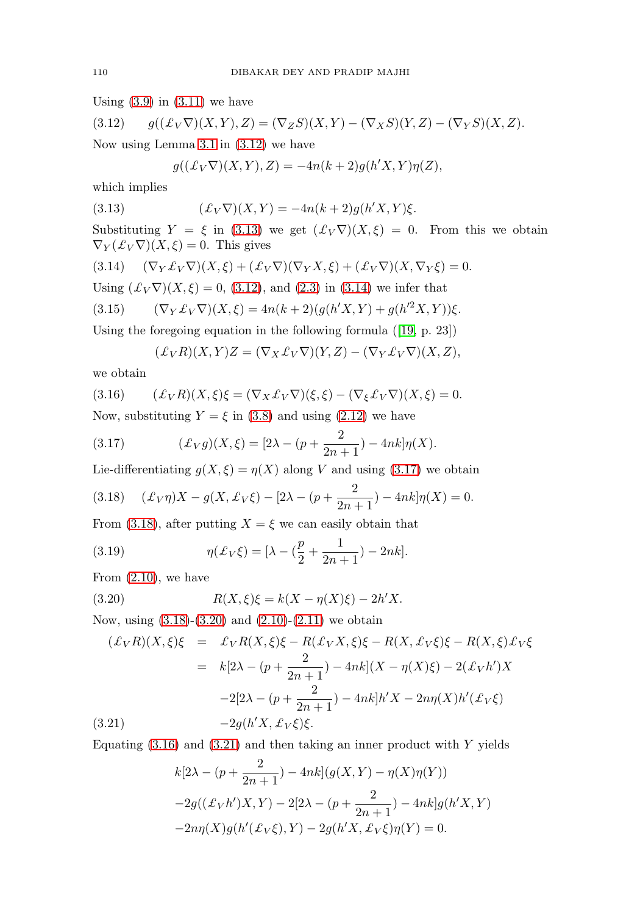Using  $(3.9)$  in  $(3.11)$  we have

<span id="page-5-0"></span>(3.12) 
$$
g((\pounds_V \nabla)(X,Y),Z) = (\nabla_Z S)(X,Y) - (\nabla_X S)(Y,Z) - (\nabla_Y S)(X,Z).
$$

Now using Lemma [3.1](#page-3-1) in [\(3.12\)](#page-5-0) we have

<span id="page-5-1"></span>
$$
g((\pounds_V \nabla)(X,Y),Z) = -4n(k+2)g(h'X,Y)\eta(Z),
$$

which implies

(3.13) 
$$
(\pounds_V \nabla)(X, Y) = -4n(k+2)g(h'X, Y)\xi.
$$

Substituting  $Y = \xi$  in [\(3.13\)](#page-5-1) we get  $(\mathcal{L}_V \nabla)(X, \xi) = 0$ . From this we obtain  $\nabla_Y(\mathcal{L}_V \nabla)(X,\xi) = 0$ . This gives

<span id="page-5-2"></span>
$$
(3.14) \qquad (\nabla_Y \pounds_V \nabla)(X,\xi) + (\pounds_V \nabla)(\nabla_Y X,\xi) + (\pounds_V \nabla)(X,\nabla_Y \xi) = 0.
$$

Using  $(\mathcal{L}_V \nabla)(X, \xi) = 0$ , [\(3.12\)](#page-5-0), and [\(2.3\)](#page-2-3) in [\(3.14\)](#page-5-2) we infer that

(3.15) 
$$
(\nabla_Y \pounds_V \nabla)(X,\xi) = 4n(k+2)(g(h'X,Y) + g(h'^2X,Y))\xi.
$$

Using the foregoing equation in the following formula ([\[19,](#page-11-11) p. 23])

<span id="page-5-6"></span>
$$
(\pounds_V R)(X,Y)Z = (\nabla_X \pounds_V \nabla)(Y,Z) - (\nabla_Y \pounds_V \nabla)(X,Z),
$$

we obtain

(3.16) 
$$
(\pounds_V R)(X,\xi)\xi = (\nabla_X \pounds_V \nabla)(\xi,\xi) - (\nabla_{\xi} \pounds_V \nabla)(X,\xi) = 0.
$$

Now, substituting  $Y = \xi$  in [\(3.8\)](#page-4-3) and using [\(2.12\)](#page-2-8) we have

<span id="page-5-3"></span>(3.17) 
$$
(\pounds_V g)(X,\xi) = [2\lambda - (p + \frac{2}{2n+1}) - 4nk]\eta(X).
$$

Lie-differentiating  $g(X, \xi) = \eta(X)$  along V and using [\(3.17\)](#page-5-3) we obtain

<span id="page-5-4"></span>(3.18) 
$$
(\pounds_V \eta)X - g(X, \pounds_V \xi) - [2\lambda - (p + \frac{2}{2n+1}) - 4nk]\eta(X) = 0.
$$

From [\(3.18\)](#page-5-4), after putting  $X = \xi$  we can easily obtain that

(3.19) 
$$
\eta(\pounds_V \xi) = [\lambda - (\frac{p}{2} + \frac{1}{2n+1}) - 2nk].
$$

From [\(2.10\)](#page-2-2), we have

<span id="page-5-5"></span>(3.20) 
$$
R(X,\xi)\xi = k(X - \eta(X)\xi) - 2h'X.
$$

Now, using [\(3.18\)](#page-5-4)-[\(3.20\)](#page-5-5) and [\(2.10\)](#page-2-2)-[\(2.11\)](#page-2-9) we obtain

<span id="page-5-7"></span>
$$
(\pounds_V R)(X,\xi)\xi = \pounds_V R(X,\xi)\xi - R(\pounds_V X,\xi)\xi - R(X,\pounds_V \xi)\xi - R(X,\xi)\pounds_V \xi
$$
  
=  $k[2\lambda - (p + \frac{2}{2n+1}) - 4nk](X - \eta(X)\xi) - 2(\pounds_V h')X$   
-2[2\lambda - (p + \frac{2}{2n+1}) - 4nk]h'X - 2n\eta(X)h'(\pounds\_V \xi)  
(3.21)  $-2g(h'X,\pounds_V \xi)\xi.$ 

Equating  $(3.16)$  and  $(3.21)$  and then taking an inner product with Y yields

$$
k[2\lambda - (p + \frac{2}{2n+1}) - 4nk](g(X, Y) - \eta(X)\eta(Y))
$$
  
-2g((\pounds\_V h')X, Y) - 2[2\lambda - (p + \frac{2}{2n+1}) - 4nk]g(h'X, Y)  
-2n\eta(X)g(h'(\pounds\_V \xi), Y) - 2g(h'X, \pounds\_V \xi)\eta(Y) = 0.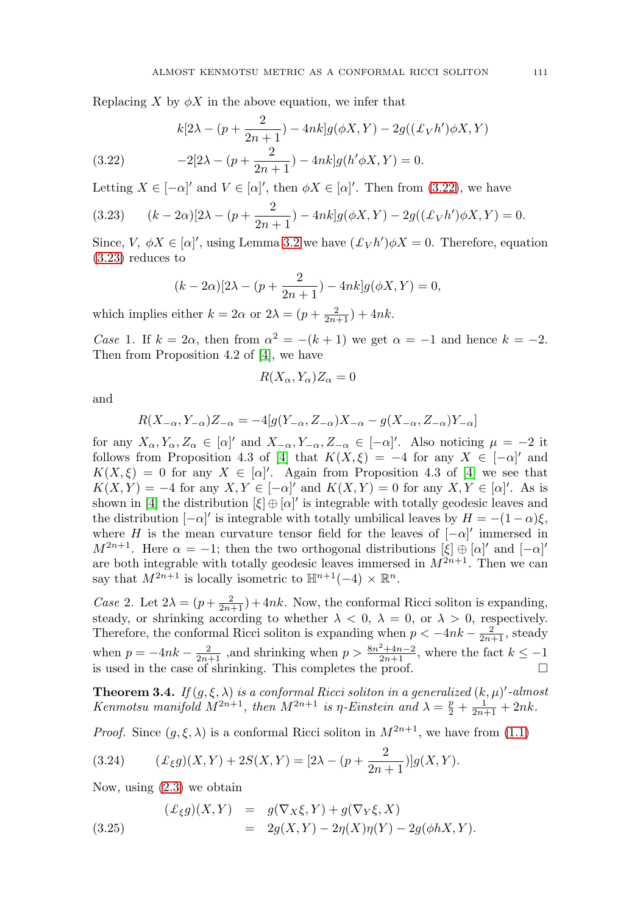Replacing X by  $\phi X$  in the above equation, we infer that

<span id="page-6-0"></span>(3.22) 
$$
k[2\lambda - (p + \frac{2}{2n+1}) - 4nk]g(\phi X, Y) - 2g((\pounds_V h')\phi X, Y)
$$

$$
-2[2\lambda - (p + \frac{2}{2n+1}) - 4nk]g(h'\phi X, Y) = 0.
$$

Letting  $X \in [-\alpha]'$  and  $V \in [\alpha]'$ , then  $\phi X \in [\alpha]'$ . Then from [\(3.22\)](#page-6-0), we have

<span id="page-6-1"></span>(3.23) 
$$
(k-2\alpha)[2\lambda - (p+\frac{2}{2n+1}) - 4nk]g(\phi X, Y) - 2g((\pounds_V h')\phi X, Y) = 0.
$$

Since,  $V, \phi X \in [\alpha]'$ , using Lemma [3.2](#page-4-4) we have  $(\mathcal{L}_V h')\phi X = 0$ . Therefore, equation [\(3.23\)](#page-6-1) reduces to

$$
(k - 2\alpha)[2\lambda - (p + \frac{2}{2n+1}) - 4nk]g(\phi X, Y) = 0,
$$

which implies either  $k = 2\alpha$  or  $2\lambda = (p + \frac{2}{2n+1}) + 4nk$ .

Case 1. If  $k = 2\alpha$ , then from  $\alpha^2 = -(k+1)$  we get  $\alpha = -1$  and hence  $k = -2$ . Then from Proposition 4.2 of [\[4\]](#page-10-3), we have

$$
R(X_{\alpha}, Y_{\alpha})Z_{\alpha} = 0
$$

and

$$
R(X_{-\alpha}, Y_{-\alpha})Z_{-\alpha} = -4[g(Y_{-\alpha}, Z_{-\alpha})X_{-\alpha} - g(X_{-\alpha}, Z_{-\alpha})Y_{-\alpha}]
$$

for any  $X_{\alpha}, Y_{\alpha}, Z_{\alpha} \in [\alpha]'$  and  $X_{-\alpha}, Y_{-\alpha}, Z_{-\alpha} \in [-\alpha]'$ . Also noticing  $\mu = -2$  it follows from Proposition 4.3 of [\[4\]](#page-10-3) that  $K(X,\xi) = -4$  for any  $X \in [-\alpha]'$  and  $K(X,\xi) = 0$  for any  $X \in [\alpha]'$ . Again from Proposition 4.3 of [\[4\]](#page-10-3) we see that  $K(X,Y) = -4$  for any  $X, Y \in [-\alpha]'$  and  $K(X,Y) = 0$  for any  $X, Y \in [\alpha]'$ . As is shown in [\[4\]](#page-10-3) the distribution  $[\xi] \oplus [\alpha]'$  is integrable with totally geodesic leaves and the distribution  $[-\alpha]'$  is integrable with totally umbilical leaves by  $H = -(1-\alpha)\xi$ , where H is the mean curvature tensor field for the leaves of  $[-\alpha]'$  immersed in  $M^{2n+1}$ . Here  $\alpha = -1$ ; then the two orthogonal distributions  $[\xi] \oplus [\alpha]'$  and  $[-\alpha]'$ are both integrable with totally geodesic leaves immersed in  $M^{2n+1}$ . Then we can say that  $M^{2n+1}$  is locally isometric to  $\mathbb{H}^{n+1}(-4) \times \mathbb{R}^n$ .

Case 2. Let  $2\lambda = (p + \frac{2}{2n+1}) + 4nk$ . Now, the conformal Ricci soliton is expanding, steady, or shrinking according to whether  $\lambda < 0$ ,  $\lambda = 0$ , or  $\lambda > 0$ , respectively. Therefore, the conformal Ricci soliton is expanding when  $p < -4nk - \frac{2}{2n+1}$ , steady when  $p = -4nk - \frac{2}{2n+1}$ , and shrinking when  $p > \frac{8n^2+4n-2}{2n+1}$ , where the fact  $k \leq -1$ is used in the case of shrinking. This completes the proof.  $\Box$ 

**Theorem 3.4.** If  $(g, \xi, \lambda)$  is a conformal Ricci soliton in a generalized  $(k, \mu)'$ -almost Kenmotsu manifold  $M^{2n+1}$ , then  $M^{2n+1}$  is  $\eta$ -Einstein and  $\lambda = \frac{p}{2} + \frac{1}{2n+1} + 2nk$ .

*Proof.* Since  $(g, \xi, \lambda)$  is a conformal Ricci soliton in  $M^{2n+1}$ , we have from [\(1.1\)](#page-1-2)

<span id="page-6-3"></span>(3.24) 
$$
(\pounds_{\xi}g)(X,Y) + 2S(X,Y) = [2\lambda - (p + \frac{2}{2n+1})]g(X,Y).
$$

Now, using [\(2.3\)](#page-2-3) we obtain

<span id="page-6-2"></span>(3.25) 
$$
(\mathcal{L}_{\xi}g)(X,Y) = g(\nabla_X \xi, Y) + g(\nabla_Y \xi, X)
$$

$$
= 2g(X,Y) - 2\eta(X)\eta(Y) - 2g(\phi hX, Y).
$$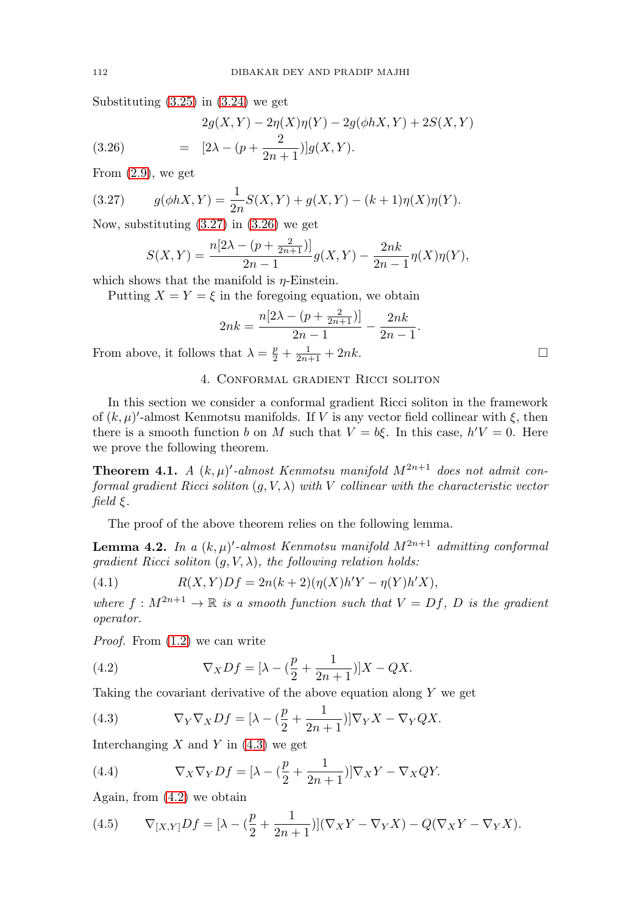Substituting  $(3.25)$  in  $(3.24)$  we get

<span id="page-7-2"></span>(3.26) 
$$
2g(X,Y) - 2\eta(X)\eta(Y) - 2g(\phi hX,Y) + 2S(X,Y)
$$

$$
= [2\lambda - (p + \frac{2}{2n+1})]g(X,Y).
$$

From  $(2.9)$ , we get

(3.27) 
$$
g(\phi hX, Y) = \frac{1}{2n}S(X, Y) + g(X, Y) - (k+1)\eta(X)\eta(Y).
$$

Now, substituting [\(3.27\)](#page-7-1) in [\(3.26\)](#page-7-2) we get

<span id="page-7-1"></span>
$$
S(X,Y) = \frac{n[2\lambda - (p + \frac{2}{2n+1})]}{2n-1}g(X,Y) - \frac{2nk}{2n-1}\eta(X)\eta(Y),
$$

which shows that the manifold is  $\eta$ -Einstein.

Putting  $X = Y = \xi$  in the foregoing equation, we obtain

$$
2nk = \frac{n[2\lambda - (p + \frac{2}{2n+1})]}{2n-1} - \frac{2nk}{2n-1}.
$$

<span id="page-7-0"></span>From above, it follows that  $\lambda = \frac{p}{2} + \frac{1}{2n+1} + 2nk$ .

# 4. Conformal gradient Ricci soliton

In this section we consider a conformal gradient Ricci soliton in the framework of  $(k, \mu)'$ -almost Kenmotsu manifolds. If V is any vector field collinear with  $\xi$ , then there is a smooth function b on M such that  $V = b\xi$ . In this case,  $h'V = 0$ . Here we prove the following theorem.

<span id="page-7-6"></span>**Theorem 4.1.** A  $(k, \mu)'$ -almost Kenmotsu manifold  $M^{2n+1}$  does not admit conformal gradient Ricci soliton  $(q, V, \lambda)$  with V collinear with the characteristic vector  $field \xi$ .

The proof of the above theorem relies on the following lemma.

**Lemma 4.2.** In a  $(k,\mu)'$ -almost Kenmotsu manifold  $M^{2n+1}$  admitting conformal gradient Ricci soliton  $(g, V, \lambda)$ , the following relation holds:

<span id="page-7-7"></span>(4.1) 
$$
R(X,Y)Df = 2n(k+2)(\eta(X)h'Y - \eta(Y)h'X),
$$

where  $f: M^{2n+1} \to \mathbb{R}$  is a smooth function such that  $V = Df$ , D is the gradient operator.

Proof. From [\(1.2\)](#page-1-3) we can write

<span id="page-7-4"></span>(4.2) 
$$
\nabla_X Df = [\lambda - (\frac{p}{2} + \frac{1}{2n+1})]X - QX.
$$

Taking the covariant derivative of the above equation along  $Y$  we get

<span id="page-7-3"></span>(4.3) 
$$
\nabla_Y \nabla_X Df = [\lambda - (\frac{p}{2} + \frac{1}{2n+1})] \nabla_Y X - \nabla_Y QX.
$$

Interchanging  $X$  and  $Y$  in  $(4.3)$  we get

(4.4) 
$$
\nabla_X \nabla_Y Df = [\lambda - (\frac{p}{2} + \frac{1}{2n+1})] \nabla_X Y - \nabla_X QY.
$$

Again, from [\(4.2\)](#page-7-4) we obtain

<span id="page-7-5"></span>(4.5) 
$$
\nabla_{[X,Y]}Df = [\lambda - (\frac{p}{2} + \frac{1}{2n+1})](\nabla_X Y - \nabla_Y X) - Q(\nabla_X Y - \nabla_Y X).
$$

 $\Box$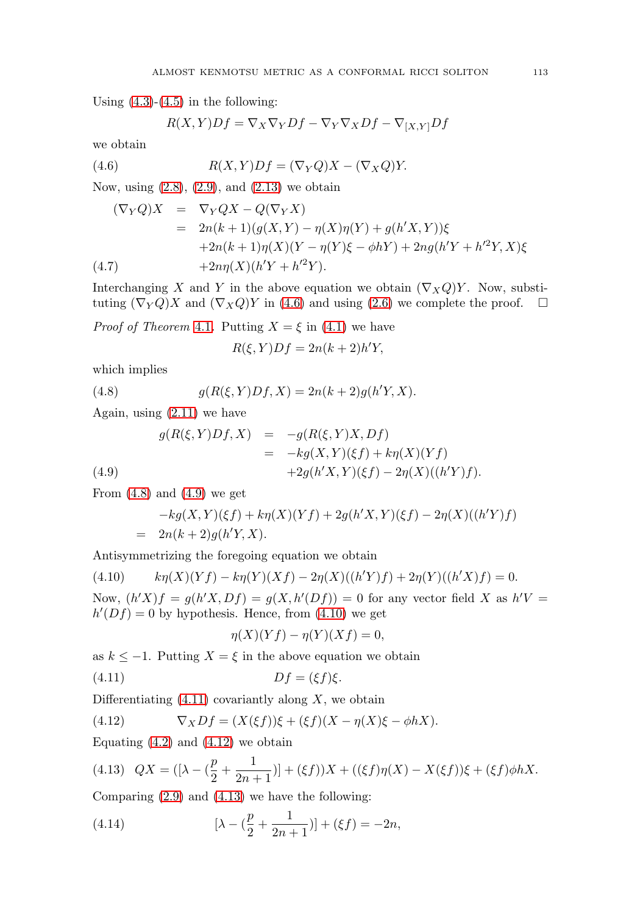Using  $(4.3)-(4.5)$  $(4.3)-(4.5)$  $(4.3)-(4.5)$  in the following:

<span id="page-8-0"></span>
$$
R(X,Y)Df = \nabla_X \nabla_Y Df - \nabla_Y \nabla_X Df - \nabla_{[X,Y]} Df
$$

we obtain

(4.6) 
$$
R(X,Y)Df = (\nabla_Y Q)X - (\nabla_X Q)Y.
$$

Now, using [\(2.8\)](#page-2-5), [\(2.9\)](#page-2-4), and [\(2.13\)](#page-2-6) we obtain

$$
(\nabla_Y Q)X = \nabla_Y QX - Q(\nabla_Y X) \n= 2n(k+1)(g(X,Y) - \eta(X)\eta(Y) + g(h'X,Y))\xi \n+2n(k+1)\eta(X)(Y - \eta(Y)\xi - \phi hY) + 2ng(h'Y + h'^2Y, X)\xi \n+2n\eta(X)(h'Y + h'^2Y).
$$

Interchanging X and Y in the above equation we obtain  $(\nabla_X Q)Y$ . Now, substituting  $(\nabla_Y Q)X$  and  $(\nabla_X Q)Y$  in [\(4.6\)](#page-8-0) and using [\(2.6\)](#page-2-7) we complete the proof.  $\Box$ 

*Proof of Theorem [4.1](#page-7-6).* Putting  $X = \xi$  in [\(4.1\)](#page-7-7) we have

<span id="page-8-1"></span>
$$
R(\xi, Y)Df = 2n(k+2)h'Y,
$$

which implies

(4.8) 
$$
g(R(\xi, Y)Df, X) = 2n(k+2)g(h'Y, X).
$$

Again, using [\(2.11\)](#page-2-9) we have

<span id="page-8-2"></span>(4.9)  
\n
$$
g(R(\xi, Y)Df, X) = -g(R(\xi, Y)X, Df)
$$
\n
$$
= -kg(X, Y)(\xi f) + k\eta(X)(Yf)
$$
\n
$$
+2g(h'X, Y)(\xi f) - 2\eta(X)((h'Y)f).
$$

From  $(4.8)$  and  $(4.9)$  we get

$$
-kg(X,Y)(\xi f) + k\eta(X)(Yf) + 2g(h'X,Y)(\xi f) - 2\eta(X)((h'Y)f)
$$
  
= 2n(k+2)g(h'Y,X).

Antisymmetrizing the foregoing equation we obtain

<span id="page-8-3"></span>(4.10) 
$$
k\eta(X)(Yf) - k\eta(Y)(Xf) - 2\eta(X)((h'Y)f) + 2\eta(Y)((h'X)f) = 0.
$$
  
Now  $(h'X)f = a(h'X, Df) = a(X, h'(Df)) = 0$  for any vector field X as h'

Now,  $(h'X)f = g(h'X, Df) = g(X, h'(Df)) = 0$  for any vector field X as  $h'V =$  $h'(Df) = 0$  by hypothesis. Hence, from  $(4.10)$  we get

<span id="page-8-4"></span>
$$
\eta(X)(Yf) - \eta(Y)(Xf) = 0,
$$

as  $k \leq -1$ . Putting  $X = \xi$  in the above equation we obtain

$$
(4.11)\t\t Df = (\xi f)\xi.
$$

Differentiating  $(4.11)$  covariantly along X, we obtain

<span id="page-8-5"></span>(4.12) 
$$
\nabla_X Df = (X(\xi f))\xi + (\xi f)(X - \eta(X)\xi - \phi hX).
$$

Equating  $(4.2)$  and  $(4.12)$  we obtain

<span id="page-8-6"></span>(4.13) 
$$
QX = ([\lambda - (\frac{p}{2} + \frac{1}{2n+1})] + (\xi f))X + ((\xi f)\eta(X) - X(\xi f))\xi + (\xi f)\phi hX.
$$

Comparing [\(2.9\)](#page-2-4) and [\(4.13\)](#page-8-6) we have the following:

<span id="page-8-7"></span>(4.14) 
$$
[\lambda - (\frac{p}{2} + \frac{1}{2n+1})] + (\xi f) = -2n,
$$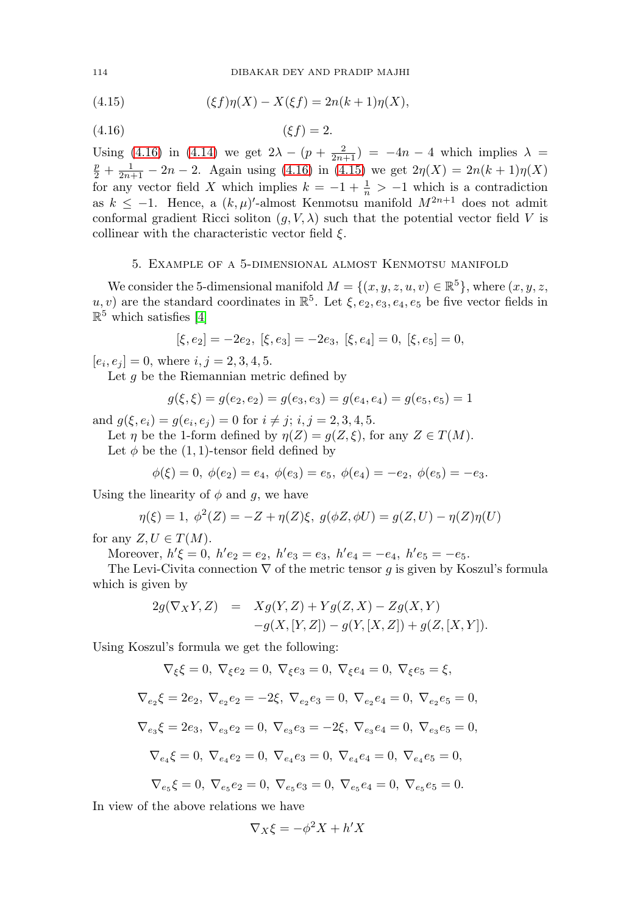<span id="page-9-1"></span>(4.15) 
$$
(\xi f)\eta(X) - X(\xi f) = 2n(k+1)\eta(X),
$$

<span id="page-9-0"></span>
$$
(4.16)\qquad \qquad (\xi f) = 2.
$$

Using [\(4.16\)](#page-9-0) in [\(4.14\)](#page-8-7) we get  $2\lambda - (p + \frac{2}{2n+1}) = -4n - 4$  which implies  $\lambda = p + 1$ <br> $p + 1$  $\frac{p}{2} + \frac{1}{2n+1} - 2n - 2$ . Again using [\(4.16\)](#page-9-0) in [\(4.15\)](#page-9-1) we get  $2\eta(X) = 2n(k+1)\eta(X)$ for any vector field X which implies  $k = -1 + \frac{1}{n} > -1$  which is a contradiction as  $k \leq -1$ . Hence, a  $(k, \mu)'$ -almost Kenmotsu manifold  $M^{2n+1}$  does not admit conformal gradient Ricci soliton  $(g, V, \lambda)$  such that the potential vector field V is collinear with the characteristic vector field  $\xi$ .

### 5. Example of a 5-dimensional almost Kenmotsu manifold

We consider the 5-dimensional manifold  $M = \{(x, y, z, u, v) \in \mathbb{R}^5\}$ , where  $(x, y, z,$ u, v) are the standard coordinates in  $\mathbb{R}^5$ . Let  $\xi, e_2, e_3, e_4, e_5$  be five vector fields in  $\mathbb{R}^5$  which satisfies [\[4\]](#page-10-3)

$$
[\xi,e_2]=-2e_2,\ [\xi,e_3]=-2e_3,\ [\xi,e_4]=0,\ [\xi,e_5]=0,
$$

 $[e_i, e_j] = 0$ , where  $i, j = 2, 3, 4, 5$ .

Let  $g$  be the Riemannian metric defined by

$$
g(\xi, \xi) = g(e_2, e_2) = g(e_3, e_3) = g(e_4, e_4) = g(e_5, e_5) = 1
$$

and  $g(\xi, e_i) = g(e_i, e_j) = 0$  for  $i \neq j$ ;  $i, j = 2, 3, 4, 5$ .

Let  $\eta$  be the 1-form defined by  $\eta(Z) = g(Z, \xi)$ , for any  $Z \in T(M)$ .

Let  $\phi$  be the (1, 1)-tensor field defined by

$$
\phi(\xi) = 0, \ \phi(e_2) = e_4, \ \phi(e_3) = e_5, \ \phi(e_4) = -e_2, \ \phi(e_5) = -e_3.
$$

Using the linearity of  $\phi$  and g, we have

$$
\eta(\xi) = 1, \ \phi^2(Z) = -Z + \eta(Z)\xi, \ g(\phi Z, \phi U) = g(Z, U) - \eta(Z)\eta(U)
$$

for any  $Z, U \in T(M)$ .

Moreover,  $h' \xi = 0$ ,  $h' e_2 = e_2$ ,  $h' e_3 = e_3$ ,  $h' e_4 = -e_4$ ,  $h' e_5 = -e_5$ .

The Levi-Civita connection  $\nabla$  of the metric tensor g is given by Koszul's formula which is given by

$$
\begin{array}{lcl} 2g(\nabla_XY,Z) & = & Xg(Y,Z)+Yg(Z,X)-Zg(X,Y) \\ & & -g(X,[Y,Z])-g(Y,[X,Z])+g(Z,[X,Y]). \end{array}
$$

Using Koszul's formula we get the following:

$$
\nabla_\xi \xi=0, \; \nabla_\xi e_2=0, \; \nabla_\xi e_3=0, \; \nabla_\xi e_4=0, \; \nabla_\xi e_5=\xi,
$$

$$
\nabla_{e_2}\xi = 2e_2, \ \nabla_{e_2}e_2 = -2\xi, \ \nabla_{e_2}e_3 = 0, \ \nabla_{e_2}e_4 = 0, \ \nabla_{e_2}e_5 = 0,
$$
  
\n
$$
\nabla_{e_3}\xi = 2e_3, \ \nabla_{e_3}e_2 = 0, \ \nabla_{e_3}e_3 = -2\xi, \ \nabla_{e_3}e_4 = 0, \ \nabla_{e_3}e_5 = 0,
$$
  
\n
$$
\nabla_{e_4}\xi = 0, \ \nabla_{e_4}e_2 = 0, \ \nabla_{e_4}e_3 = 0, \ \nabla_{e_4}e_4 = 0, \ \nabla_{e_4}e_5 = 0,
$$

$$
\nabla_{e_5}\xi = 0, \ \nabla_{e_5}e_2 = 0, \ \nabla_{e_5}e_3 = 0, \ \nabla_{e_5}e_4 = 0, \ \nabla_{e_5}e_5 = 0.
$$

In view of the above relations we have

$$
\nabla_X \xi = -\phi^2 X + h'X
$$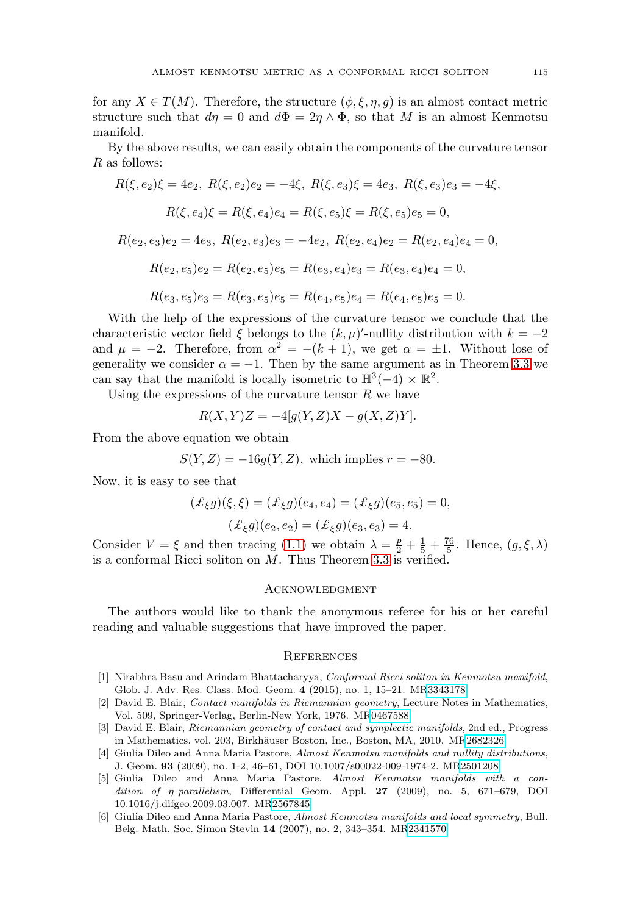for any  $X \in T(M)$ . Therefore, the structure  $(\phi, \xi, \eta, g)$  is an almost contact metric structure such that  $d\eta = 0$  and  $d\Phi = 2\eta \wedge \Phi$ , so that M is an almost Kenmotsu manifold.

By the above results, we can easily obtain the components of the curvature tensor R as follows:

$$
R(\xi, e_2)\xi = 4e_2, \ R(\xi, e_2)e_2 = -4\xi, \ R(\xi, e_3)\xi = 4e_3, \ R(\xi, e_3)e_3 = -4\xi,
$$
  

$$
R(\xi, e_4)\xi = R(\xi, e_4)e_4 = R(\xi, e_5)\xi = R(\xi, e_5)e_5 = 0,
$$
  

$$
R(e_2, e_3)e_2 = 4e_3, \ R(e_2, e_3)e_3 = -4e_2, \ R(e_2, e_4)e_2 = R(e_2, e_4)e_4 = 0,
$$
  

$$
R(e_2, e_5)e_2 = R(e_2, e_5)e_5 = R(e_3, e_4)e_3 = R(e_3, e_4)e_4 = 0,
$$
  

$$
R(e_3, e_5)e_3 = R(e_3, e_5)e_5 = R(e_4, e_5)e_4 = R(e_4, e_5)e_5 = 0.
$$

With the help of the expressions of the curvature tensor we conclude that the characteristic vector field  $\xi$  belongs to the  $(k, \mu)'$ -nullity distribution with  $k = -2$ and  $\mu = -2$ . Therefore, from  $\alpha^2 = -(k+1)$ , we get  $\alpha = \pm 1$ . Without lose of generality we consider  $\alpha = -1$ . Then by the same argument as in Theorem [3.3](#page-4-5) we can say that the manifold is locally isometric to  $\mathbb{H}^3(-4) \times \mathbb{R}^2$ .

Using the expressions of the curvature tensor  $R$  we have

$$
R(X,Y)Z = -4[g(Y,Z)X - g(X,Z)Y].
$$

From the above equation we obtain

$$
S(Y, Z) = -16g(Y, Z),
$$
 which implies  $r = -80$ .

Now, it is easy to see that

$$
(\mathcal{L}_{\xi}g)(\xi,\xi) = (\mathcal{L}_{\xi}g)(e_4,e_4) = (\mathcal{L}_{\xi}g)(e_5,e_5) = 0,
$$
  

$$
(\mathcal{L}_{\xi}g)(e_2,e_2) = (\mathcal{L}_{\xi}g)(e_3,e_3) = 4.
$$

Consider  $V = \xi$  and then tracing [\(1.1\)](#page-1-2) we obtain  $\lambda = \frac{p}{2} + \frac{1}{5} + \frac{76}{5}$ . Hence,  $(g, \xi, \lambda)$ is a conformal Ricci soliton on  $M$ . Thus Theorem [3.3](#page-4-5) is verified.

### **ACKNOWLEDGMENT**

The authors would like to thank the anonymous referee for his or her careful reading and valuable suggestions that have improved the paper.

#### **REFERENCES**

- <span id="page-10-0"></span>[1] Nirabhra Basu and Arindam Bhattacharyya, Conformal Ricci soliton in Kenmotsu manifold, Glob. J. Adv. Res. Class. Mod. Geom. **4** (2015), no. 1, 15–21. M[R3343178](https://www.ams.org/mathscinet-getitem?mr=3343178)
- <span id="page-10-1"></span>[2] David E. Blair, Contact manifolds in Riemannian geometry, Lecture Notes in Mathematics, Vol. 509, Springer-Verlag, Berlin-New York, 1976. M[R0467588](https://www.ams.org/mathscinet-getitem?mr=0467588)
- <span id="page-10-2"></span>[3] David E. Blair, Riemannian geometry of contact and symplectic manifolds, 2nd ed., Progress in Mathematics, vol. 203, Birkhäuser Boston, Inc., Boston, MA, 2010. M[R2682326](https://www.ams.org/mathscinet-getitem?mr=2682326)
- <span id="page-10-3"></span>[4] Giulia Dileo and Anna Maria Pastore, Almost Kenmotsu manifolds and nullity distributions, J. Geom. **93** (2009), no. 1-2, 46–61, DOI 10.1007/s00022-009-1974-2. M[R2501208](https://www.ams.org/mathscinet-getitem?mr=2501208)
- <span id="page-10-4"></span>[5] Giulia Dileo and Anna Maria Pastore, Almost Kenmotsu manifolds with a condition of η-parallelism, Differential Geom. Appl. **27** (2009), no. 5, 671–679, DOI 10.1016/j.difgeo.2009.03.007. M[R2567845](https://www.ams.org/mathscinet-getitem?mr=2567845)
- <span id="page-10-5"></span>[6] Giulia Dileo and Anna Maria Pastore, Almost Kenmotsu manifolds and local symmetry, Bull. Belg. Math. Soc. Simon Stevin **14** (2007), no. 2, 343–354. M[R2341570](https://www.ams.org/mathscinet-getitem?mr=2341570)